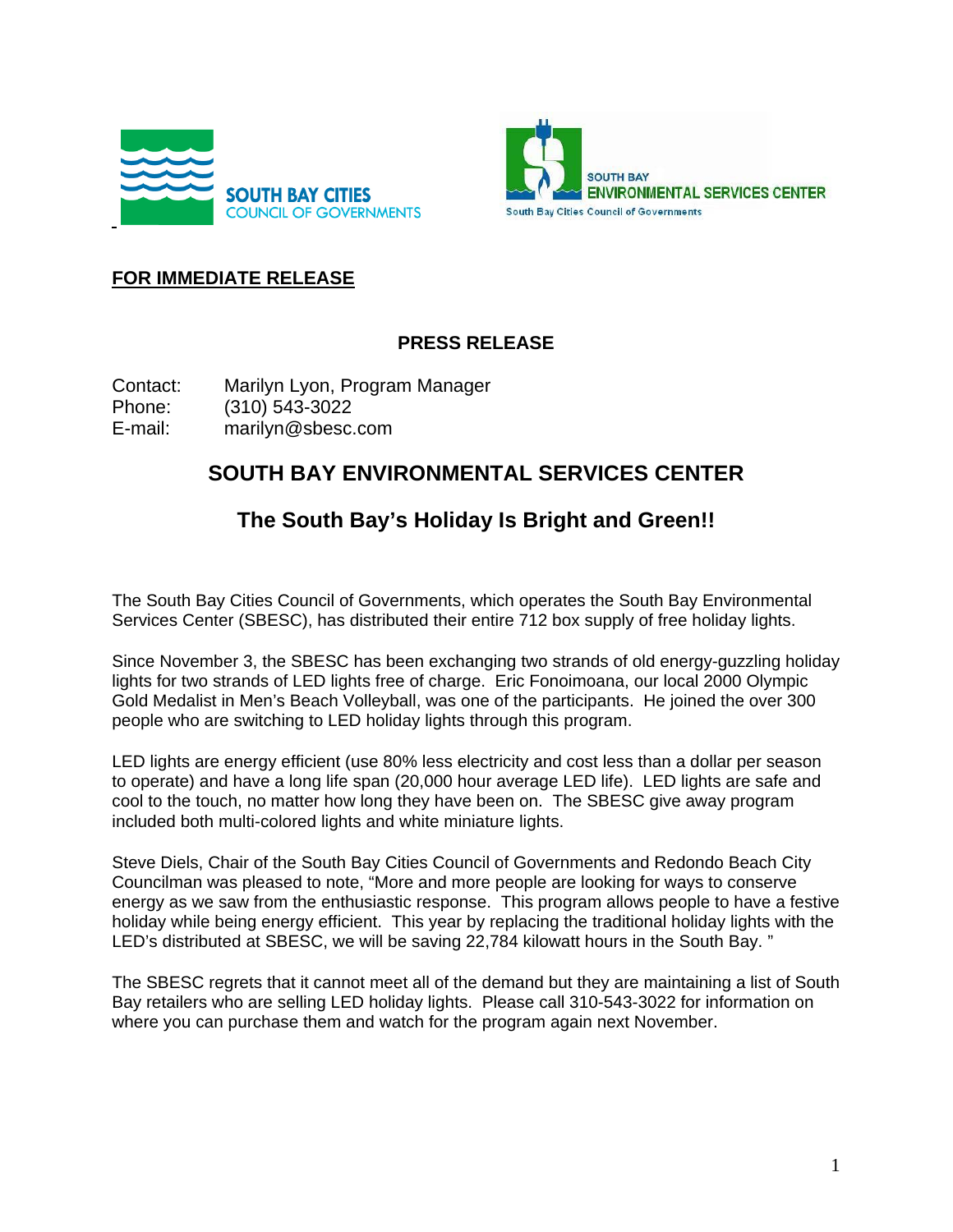



## **FOR IMMEDIATE RELEASE**

## **PRESS RELEASE**

Contact: Marilyn Lyon, Program Manager Phone: (310) 543-3022 E-mail: marilyn@sbesc.com

## **SOUTH BAY ENVIRONMENTAL SERVICES CENTER**

## **The South Bay's Holiday Is Bright and Green!!**

The South Bay Cities Council of Governments, which operates the South Bay Environmental Services Center (SBESC), has distributed their entire 712 box supply of free holiday lights.

Since November 3, the SBESC has been exchanging two strands of old energy-guzzling holiday lights for two strands of LED lights free of charge. Eric Fonoimoana, our local 2000 Olympic Gold Medalist in Men's Beach Volleyball, was one of the participants. He joined the over 300 people who are switching to LED holiday lights through this program.

LED lights are energy efficient (use 80% less electricity and cost less than a dollar per season to operate) and have a long life span (20,000 hour average LED life). LED lights are safe and cool to the touch, no matter how long they have been on. The SBESC give away program included both multi-colored lights and white miniature lights.

Steve Diels, Chair of the South Bay Cities Council of Governments and Redondo Beach City Councilman was pleased to note, "More and more people are looking for ways to conserve energy as we saw from the enthusiastic response. This program allows people to have a festive holiday while being energy efficient. This year by replacing the traditional holiday lights with the LED's distributed at SBESC, we will be saving 22,784 kilowatt hours in the South Bay. "

The SBESC regrets that it cannot meet all of the demand but they are maintaining a list of South Bay retailers who are selling LED holiday lights. Please call 310-543-3022 for information on where you can purchase them and watch for the program again next November.